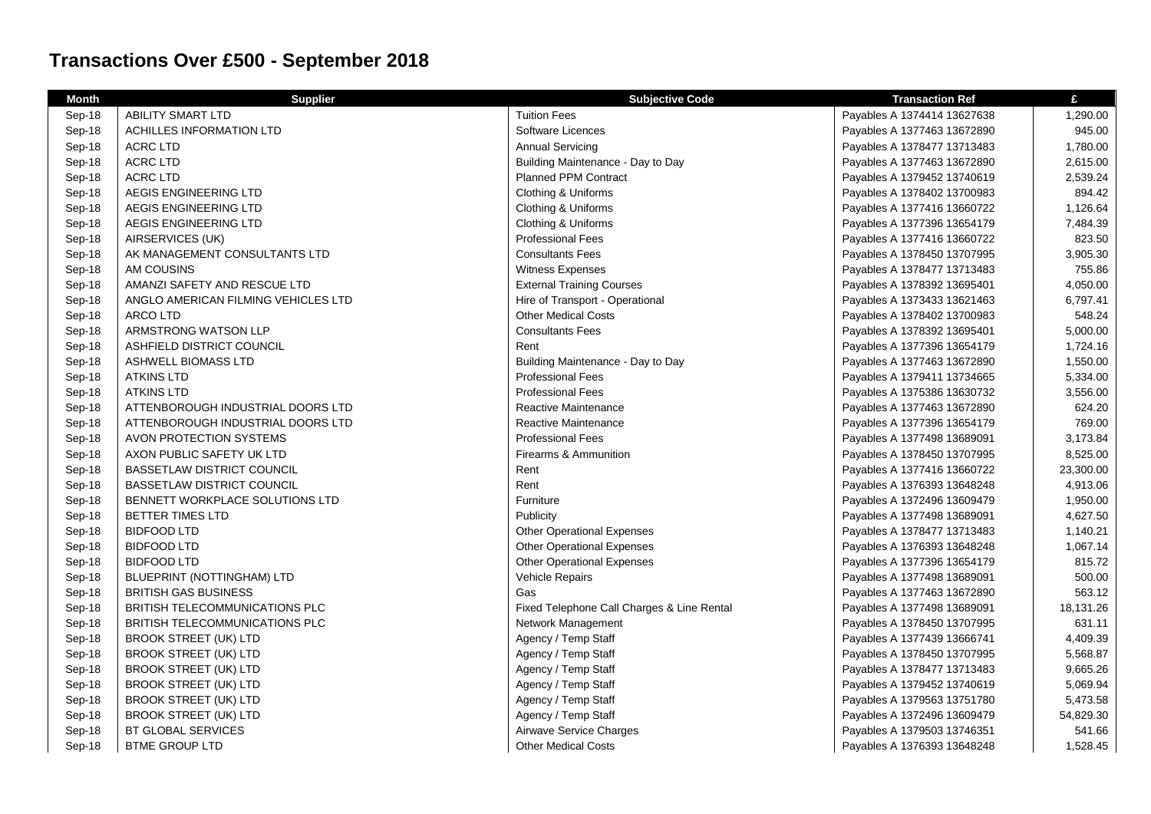## **Transactions Over £500 - September 2018**

| <b>Month</b> | <b>Supplier</b>                     | <b>Subjective Code</b>                     | <b>Transaction Ref</b>      | £         |
|--------------|-------------------------------------|--------------------------------------------|-----------------------------|-----------|
| Sep-18       | ABILITY SMART LTD                   | <b>Tuition Fees</b>                        | Payables A 1374414 13627638 | 1,290.00  |
| Sep-18       | <b>ACHILLES INFORMATION LTD</b>     | Software Licences                          | Payables A 1377463 13672890 | 945.00    |
| Sep-18       | <b>ACRC LTD</b>                     | <b>Annual Servicing</b>                    | Payables A 1378477 13713483 | 1,780.00  |
| Sep-18       | <b>ACRC LTD</b>                     | Building Maintenance - Day to Day          | Payables A 1377463 13672890 | 2,615.00  |
| Sep-18       | <b>ACRC LTD</b>                     | <b>Planned PPM Contract</b>                | Payables A 1379452 13740619 | 2,539.24  |
| Sep-18       | AEGIS ENGINEERING LTD               | Clothing & Uniforms                        | Payables A 1378402 13700983 | 894.42    |
| Sep-18       | AEGIS ENGINEERING LTD               | Clothing & Uniforms                        | Payables A 1377416 13660722 | 1,126.64  |
| Sep-18       | AEGIS ENGINEERING LTD               | Clothing & Uniforms                        | Payables A 1377396 13654179 | 7,484.39  |
| Sep-18       | AIRSERVICES (UK)                    | <b>Professional Fees</b>                   | Payables A 1377416 13660722 | 823.50    |
| Sep-18       | AK MANAGEMENT CONSULTANTS LTD       | <b>Consultants Fees</b>                    | Payables A 1378450 13707995 | 3,905.30  |
| Sep-18       | AM COUSINS                          | Witness Expenses                           | Payables A 1378477 13713483 | 755.86    |
| Sep-18       | AMANZI SAFETY AND RESCUE LTD        | <b>External Training Courses</b>           | Payables A 1378392 13695401 | 4,050.00  |
| Sep-18       | ANGLO AMERICAN FILMING VEHICLES LTD | Hire of Transport - Operational            | Payables A 1373433 13621463 | 6,797.41  |
| Sep-18       | ARCO LTD                            | <b>Other Medical Costs</b>                 | Payables A 1378402 13700983 | 548.24    |
| Sep-18       | ARMSTRONG WATSON LLP                | <b>Consultants Fees</b>                    | Payables A 1378392 13695401 | 5,000.00  |
| Sep-18       | ASHFIELD DISTRICT COUNCIL           | Rent                                       | Payables A 1377396 13654179 | 1,724.16  |
| Sep-18       | ASHWELL BIOMASS LTD                 | Building Maintenance - Day to Day          | Payables A 1377463 13672890 | 1,550.00  |
| Sep-18       | <b>ATKINS LTD</b>                   | <b>Professional Fees</b>                   | Payables A 1379411 13734665 | 5,334.00  |
| Sep-18       | <b>ATKINS LTD</b>                   | <b>Professional Fees</b>                   | Payables A 1375386 13630732 | 3,556.00  |
| Sep-18       | ATTENBOROUGH INDUSTRIAL DOORS LTD   | Reactive Maintenance                       | Payables A 1377463 13672890 | 624.20    |
| Sep-18       | ATTENBOROUGH INDUSTRIAL DOORS LTD   | <b>Reactive Maintenance</b>                | Payables A 1377396 13654179 | 769.00    |
| Sep-18       | AVON PROTECTION SYSTEMS             | <b>Professional Fees</b>                   | Payables A 1377498 13689091 | 3,173.84  |
| Sep-18       | AXON PUBLIC SAFETY UK LTD           | Firearms & Ammunition                      | Payables A 1378450 13707995 | 8,525.00  |
| Sep-18       | <b>BASSETLAW DISTRICT COUNCIL</b>   | Rent                                       | Payables A 1377416 13660722 | 23,300.00 |
| Sep-18       | <b>BASSETLAW DISTRICT COUNCIL</b>   | Rent                                       | Payables A 1376393 13648248 | 4,913.06  |
| Sep-18       | BENNETT WORKPLACE SOLUTIONS LTD     | Furniture                                  | Payables A 1372496 13609479 | 1,950.00  |
| Sep-18       | <b>BETTER TIMES LTD</b>             | Publicity                                  | Payables A 1377498 13689091 | 4,627.50  |
| Sep-18       | <b>BIDFOOD LTD</b>                  | <b>Other Operational Expenses</b>          | Payables A 1378477 13713483 | 1,140.21  |
| Sep-18       | <b>BIDFOOD LTD</b>                  | <b>Other Operational Expenses</b>          | Payables A 1376393 13648248 | 1,067.14  |
| Sep-18       | <b>BIDFOOD LTD</b>                  | <b>Other Operational Expenses</b>          | Payables A 1377396 13654179 | 815.72    |
| Sep-18       | BLUEPRINT (NOTTINGHAM) LTD          | <b>Vehicle Repairs</b>                     | Payables A 1377498 13689091 | 500.00    |
| Sep-18       | <b>BRITISH GAS BUSINESS</b>         | Gas                                        | Payables A 1377463 13672890 | 563.12    |
| Sep-18       | BRITISH TELECOMMUNICATIONS PLC      | Fixed Telephone Call Charges & Line Rental | Payables A 1377498 13689091 | 18,131.26 |
| Sep-18       | BRITISH TELECOMMUNICATIONS PLC      | Network Management                         | Payables A 1378450 13707995 | 631.11    |
| Sep-18       | <b>BROOK STREET (UK) LTD</b>        | Agency / Temp Staff                        | Payables A 1377439 13666741 | 4,409.39  |
| Sep-18       | <b>BROOK STREET (UK) LTD</b>        | Agency / Temp Staff                        | Payables A 1378450 13707995 | 5,568.87  |
| Sep-18       | <b>BROOK STREET (UK) LTD</b>        | Agency / Temp Staff                        | Payables A 1378477 13713483 | 9,665.26  |
| Sep-18       | <b>BROOK STREET (UK) LTD</b>        | Agency / Temp Staff                        | Payables A 1379452 13740619 | 5,069.94  |
| Sep-18       | <b>BROOK STREET (UK) LTD</b>        | Agency / Temp Staff                        | Payables A 1379563 13751780 | 5,473.58  |
| Sep-18       | <b>BROOK STREET (UK) LTD</b>        | Agency / Temp Staff                        | Payables A 1372496 13609479 | 54,829.30 |
| Sep-18       | BT GLOBAL SERVICES                  | Airwave Service Charges                    | Payables A 1379503 13746351 | 541.66    |
| Sep-18       | <b>BTME GROUP LTD</b>               | <b>Other Medical Costs</b>                 | Payables A 1376393 13648248 | 1,528.45  |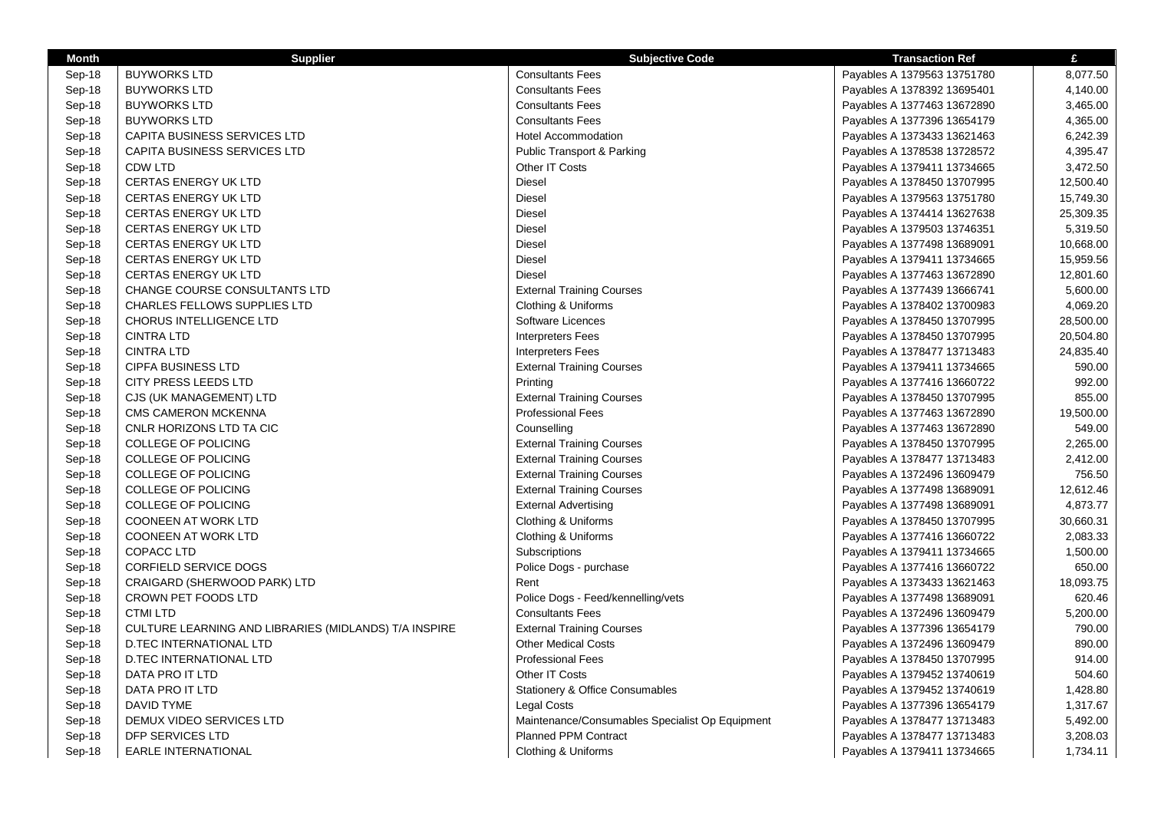| <b>Month</b> | <b>Supplier</b>                                       | <b>Subjective Code</b>                                       | <b>Transaction Ref</b>      | £         |
|--------------|-------------------------------------------------------|--------------------------------------------------------------|-----------------------------|-----------|
| Sep-18       | <b>BUYWORKS LTD</b>                                   | <b>Consultants Fees</b>                                      | Payables A 1379563 13751780 | 8,077.50  |
| Sep-18       | <b>BUYWORKS LTD</b>                                   | <b>Consultants Fees</b>                                      | Payables A 1378392 13695401 | 4,140.00  |
| Sep-18       | <b>BUYWORKS LTD</b>                                   | <b>Consultants Fees</b>                                      | Payables A 1377463 13672890 | 3,465.00  |
| Sep-18       | <b>BUYWORKS LTD</b>                                   | <b>Consultants Fees</b>                                      | Payables A 1377396 13654179 | 4,365.00  |
| Sep-18       | CAPITA BUSINESS SERVICES LTD                          | <b>Hotel Accommodation</b>                                   | Payables A 1373433 13621463 | 6,242.39  |
| Sep-18       | CAPITA BUSINESS SERVICES LTD                          | <b>Public Transport &amp; Parking</b>                        | Payables A 1378538 13728572 | 4,395.47  |
| Sep-18       | <b>CDW LTD</b>                                        | Other IT Costs                                               | Payables A 1379411 13734665 | 3,472.50  |
| Sep-18       | <b>CERTAS ENERGY UK LTD</b>                           | Diesel                                                       | Payables A 1378450 13707995 | 12,500.40 |
| Sep-18       | <b>CERTAS ENERGY UK LTD</b>                           | Diesel                                                       | Payables A 1379563 13751780 | 15,749.30 |
| Sep-18       | CERTAS ENERGY UK LTD                                  | Diesel                                                       | Payables A 1374414 13627638 | 25,309.35 |
| Sep-18       | <b>CERTAS ENERGY UK LTD</b>                           | <b>Diesel</b>                                                | Payables A 1379503 13746351 | 5,319.50  |
| Sep-18       | <b>CERTAS ENERGY UK LTD</b>                           | Diesel                                                       | Payables A 1377498 13689091 | 10,668.00 |
| Sep-18       | <b>CERTAS ENERGY UK LTD</b>                           | Diesel                                                       | Payables A 1379411 13734665 | 15,959.56 |
| Sep-18       | <b>CERTAS ENERGY UK LTD</b>                           | Diesel                                                       | Payables A 1377463 13672890 | 12,801.60 |
| Sep-18       | CHANGE COURSE CONSULTANTS LTD                         | <b>External Training Courses</b>                             | Payables A 1377439 13666741 | 5,600.00  |
| Sep-18       | <b>CHARLES FELLOWS SUPPLIES LTD</b>                   | Clothing & Uniforms                                          | Payables A 1378402 13700983 | 4,069.20  |
| Sep-18       | <b>CHORUS INTELLIGENCE LTD</b>                        | Software Licences                                            | Payables A 1378450 13707995 | 28,500.00 |
| Sep-18       | <b>CINTRA LTD</b>                                     | <b>Interpreters Fees</b>                                     | Payables A 1378450 13707995 | 20,504.80 |
| Sep-18       | <b>CINTRA LTD</b>                                     | <b>Interpreters Fees</b>                                     | Payables A 1378477 13713483 | 24,835.40 |
| Sep-18       | <b>CIPFA BUSINESS LTD</b>                             | <b>External Training Courses</b>                             | Payables A 1379411 13734665 | 590.00    |
|              | CITY PRESS LEEDS LTD                                  | Printing                                                     |                             | 992.00    |
| Sep-18       |                                                       |                                                              | Payables A 1377416 13660722 | 855.00    |
| Sep-18       | CJS (UK MANAGEMENT) LTD                               | <b>External Training Courses</b><br><b>Professional Fees</b> | Payables A 1378450 13707995 |           |
| Sep-18       | CMS CAMERON MCKENNA                                   |                                                              | Payables A 1377463 13672890 | 19,500.00 |
| Sep-18       | CNLR HORIZONS LTD TA CIC                              | Counselling                                                  | Payables A 1377463 13672890 | 549.00    |
| Sep-18       | <b>COLLEGE OF POLICING</b>                            | <b>External Training Courses</b>                             | Payables A 1378450 13707995 | 2,265.00  |
| Sep-18       | <b>COLLEGE OF POLICING</b>                            | <b>External Training Courses</b>                             | Payables A 1378477 13713483 | 2,412.00  |
| Sep-18       | <b>COLLEGE OF POLICING</b>                            | <b>External Training Courses</b>                             | Payables A 1372496 13609479 | 756.50    |
| Sep-18       | COLLEGE OF POLICING                                   | <b>External Training Courses</b>                             | Payables A 1377498 13689091 | 12,612.46 |
| Sep-18       | COLLEGE OF POLICING                                   | <b>External Advertising</b>                                  | Payables A 1377498 13689091 | 4,873.77  |
| Sep-18       | <b>COONEEN AT WORK LTD</b>                            | Clothing & Uniforms                                          | Payables A 1378450 13707995 | 30,660.31 |
| Sep-18       | <b>COONEEN AT WORK LTD</b>                            | Clothing & Uniforms                                          | Payables A 1377416 13660722 | 2,083.33  |
| Sep-18       | <b>COPACC LTD</b>                                     | Subscriptions                                                | Payables A 1379411 13734665 | 1,500.00  |
| Sep-18       | <b>CORFIELD SERVICE DOGS</b>                          | Police Dogs - purchase                                       | Payables A 1377416 13660722 | 650.00    |
| Sep-18       | CRAIGARD (SHERWOOD PARK) LTD                          | Rent                                                         | Payables A 1373433 13621463 | 18,093.75 |
| Sep-18       | CROWN PET FOODS LTD                                   | Police Dogs - Feed/kennelling/vets                           | Payables A 1377498 13689091 | 620.46    |
| Sep-18       | <b>CTMILTD</b>                                        | <b>Consultants Fees</b>                                      | Payables A 1372496 13609479 | 5,200.00  |
| Sep-18       | CULTURE LEARNING AND LIBRARIES (MIDLANDS) T/A INSPIRE | <b>External Training Courses</b>                             | Payables A 1377396 13654179 | 790.00    |
| Sep-18       | D.TEC INTERNATIONAL LTD                               | <b>Other Medical Costs</b>                                   | Payables A 1372496 13609479 | 890.00    |
| Sep-18       | <b>D.TEC INTERNATIONAL LTD</b>                        | <b>Professional Fees</b>                                     | Payables A 1378450 13707995 | 914.00    |
| Sep-18       | DATA PRO IT LTD                                       | Other IT Costs                                               | Payables A 1379452 13740619 | 504.60    |
| Sep-18       | DATA PRO IT LTD                                       | <b>Stationery &amp; Office Consumables</b>                   | Payables A 1379452 13740619 | 1,428.80  |
| Sep-18       | DAVID TYME                                            | <b>Legal Costs</b>                                           | Payables A 1377396 13654179 | 1,317.67  |
| Sep-18       | DEMUX VIDEO SERVICES LTD                              | Maintenance/Consumables Specialist Op Equipment              | Payables A 1378477 13713483 | 5,492.00  |
| Sep-18       | DFP SERVICES LTD                                      | <b>Planned PPM Contract</b>                                  | Payables A 1378477 13713483 | 3,208.03  |
| Sep-18       | <b>EARLE INTERNATIONAL</b>                            | Clothing & Uniforms                                          | Payables A 1379411 13734665 | 1,734.11  |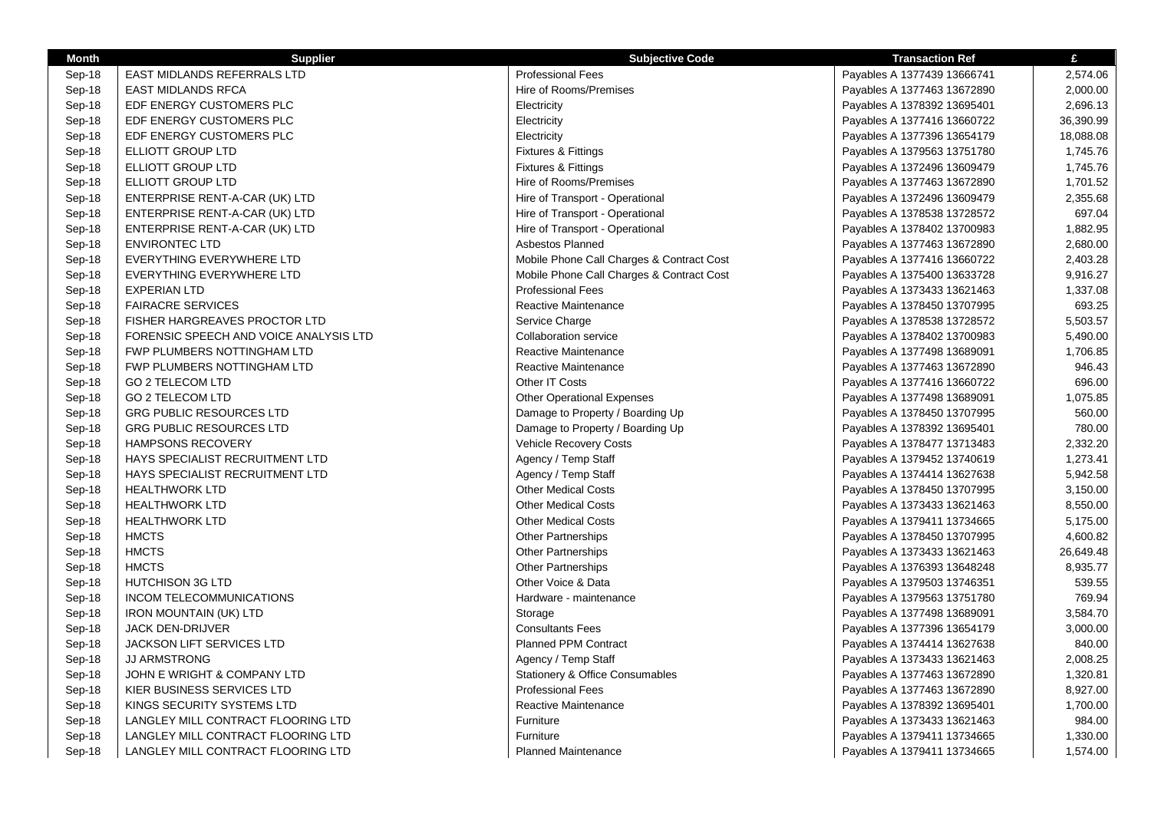| <b>Month</b> | <b>Supplier</b>                        | <b>Subjective Code</b>                    | <b>Transaction Ref</b>      | £         |
|--------------|----------------------------------------|-------------------------------------------|-----------------------------|-----------|
| Sep-18       | EAST MIDLANDS REFERRALS LTD            | <b>Professional Fees</b>                  | Payables A 1377439 13666741 | 2,574.06  |
| Sep-18       | <b>EAST MIDLANDS RFCA</b>              | Hire of Rooms/Premises                    | Payables A 1377463 13672890 | 2,000.00  |
| Sep-18       | EDF ENERGY CUSTOMERS PLC               | Electricity                               | Payables A 1378392 13695401 | 2,696.13  |
| Sep-18       | EDF ENERGY CUSTOMERS PLC               | Electricity                               | Payables A 1377416 13660722 | 36,390.99 |
| Sep-18       | EDF ENERGY CUSTOMERS PLC               | Electricity                               | Payables A 1377396 13654179 | 18,088.08 |
| Sep-18       | ELLIOTT GROUP LTD                      | <b>Fixtures &amp; Fittings</b>            | Payables A 1379563 13751780 | 1,745.76  |
| Sep-18       | ELLIOTT GROUP LTD                      | <b>Fixtures &amp; Fittings</b>            | Payables A 1372496 13609479 | 1,745.76  |
| Sep-18       | ELLIOTT GROUP LTD                      | Hire of Rooms/Premises                    | Payables A 1377463 13672890 | 1,701.52  |
| Sep-18       | ENTERPRISE RENT-A-CAR (UK) LTD         | Hire of Transport - Operational           | Payables A 1372496 13609479 | 2,355.68  |
| Sep-18       | ENTERPRISE RENT-A-CAR (UK) LTD         | Hire of Transport - Operational           | Payables A 1378538 13728572 | 697.04    |
| Sep-18       | ENTERPRISE RENT-A-CAR (UK) LTD         | Hire of Transport - Operational           | Payables A 1378402 13700983 | 1,882.95  |
| Sep-18       | <b>ENVIRONTEC LTD</b>                  | Asbestos Planned                          | Payables A 1377463 13672890 | 2,680.00  |
| Sep-18       | EVERYTHING EVERYWHERE LTD              | Mobile Phone Call Charges & Contract Cost | Payables A 1377416 13660722 | 2,403.28  |
| Sep-18       | EVERYTHING EVERYWHERE LTD              | Mobile Phone Call Charges & Contract Cost | Payables A 1375400 13633728 | 9,916.27  |
| Sep-18       | <b>EXPERIAN LTD</b>                    | <b>Professional Fees</b>                  | Payables A 1373433 13621463 | 1,337.08  |
| Sep-18       | <b>FAIRACRE SERVICES</b>               | Reactive Maintenance                      | Payables A 1378450 13707995 | 693.25    |
| Sep-18       | FISHER HARGREAVES PROCTOR LTD          | Service Charge                            | Payables A 1378538 13728572 | 5,503.57  |
| Sep-18       | FORENSIC SPEECH AND VOICE ANALYSIS LTD | <b>Collaboration service</b>              | Payables A 1378402 13700983 | 5,490.00  |
| Sep-18       | FWP PLUMBERS NOTTINGHAM LTD            | <b>Reactive Maintenance</b>               | Payables A 1377498 13689091 | 1,706.85  |
| Sep-18       | FWP PLUMBERS NOTTINGHAM LTD            | Reactive Maintenance                      | Payables A 1377463 13672890 | 946.43    |
| Sep-18       | <b>GO 2 TELECOM LTD</b>                | Other IT Costs                            | Payables A 1377416 13660722 | 696.00    |
| Sep-18       | <b>GO 2 TELECOM LTD</b>                | <b>Other Operational Expenses</b>         | Payables A 1377498 13689091 | 1,075.85  |
| Sep-18       | <b>GRG PUBLIC RESOURCES LTD</b>        | Damage to Property / Boarding Up          | Payables A 1378450 13707995 | 560.00    |
| Sep-18       | <b>GRG PUBLIC RESOURCES LTD</b>        | Damage to Property / Boarding Up          | Payables A 1378392 13695401 | 780.00    |
| Sep-18       | <b>HAMPSONS RECOVERY</b>               | Vehicle Recovery Costs                    | Payables A 1378477 13713483 | 2,332.20  |
| Sep-18       | HAYS SPECIALIST RECRUITMENT LTD        | Agency / Temp Staff                       | Payables A 1379452 13740619 | 1,273.41  |
| Sep-18       | HAYS SPECIALIST RECRUITMENT LTD        | Agency / Temp Staff                       | Payables A 1374414 13627638 | 5,942.58  |
| Sep-18       | <b>HEALTHWORK LTD</b>                  | <b>Other Medical Costs</b>                | Payables A 1378450 13707995 | 3,150.00  |
| Sep-18       | <b>HEALTHWORK LTD</b>                  | <b>Other Medical Costs</b>                | Payables A 1373433 13621463 | 8,550.00  |
| Sep-18       | <b>HEALTHWORK LTD</b>                  | <b>Other Medical Costs</b>                | Payables A 1379411 13734665 | 5,175.00  |
| Sep-18       | <b>HMCTS</b>                           | <b>Other Partnerships</b>                 | Payables A 1378450 13707995 | 4,600.82  |
| Sep-18       | <b>HMCTS</b>                           | <b>Other Partnerships</b>                 | Payables A 1373433 13621463 | 26,649.48 |
| Sep-18       | <b>HMCTS</b>                           | <b>Other Partnerships</b>                 | Payables A 1376393 13648248 | 8,935.77  |
| Sep-18       | <b>HUTCHISON 3G LTD</b>                | Other Voice & Data                        | Payables A 1379503 13746351 | 539.55    |
| Sep-18       | <b>INCOM TELECOMMUNICATIONS</b>        | Hardware - maintenance                    | Payables A 1379563 13751780 | 769.94    |
| Sep-18       | <b>IRON MOUNTAIN (UK) LTD</b>          | Storage                                   | Payables A 1377498 13689091 | 3,584.70  |
| Sep-18       | JACK DEN-DRIJVER                       | <b>Consultants Fees</b>                   | Payables A 1377396 13654179 | 3,000.00  |
| Sep-18       | JACKSON LIFT SERVICES LTD              | Planned PPM Contract                      | Payables A 1374414 13627638 | 840.00    |
| Sep-18       | <b>JJ ARMSTRONG</b>                    | Agency / Temp Staff                       | Payables A 1373433 13621463 | 2,008.25  |
| Sep-18       | JOHN E WRIGHT & COMPANY LTD            | Stationery & Office Consumables           | Payables A 1377463 13672890 | 1,320.81  |
| Sep-18       | KIER BUSINESS SERVICES LTD             | <b>Professional Fees</b>                  | Payables A 1377463 13672890 | 8,927.00  |
| Sep-18       | KINGS SECURITY SYSTEMS LTD             | Reactive Maintenance                      | Payables A 1378392 13695401 | 1,700.00  |
| Sep-18       | LANGLEY MILL CONTRACT FLOORING LTD     | Furniture                                 | Payables A 1373433 13621463 | 984.00    |
| Sep-18       | LANGLEY MILL CONTRACT FLOORING LTD     | Furniture                                 | Payables A 1379411 13734665 | 1,330.00  |
| Sep-18       | LANGLEY MILL CONTRACT FLOORING LTD     | <b>Planned Maintenance</b>                | Payables A 1379411 13734665 | 1,574.00  |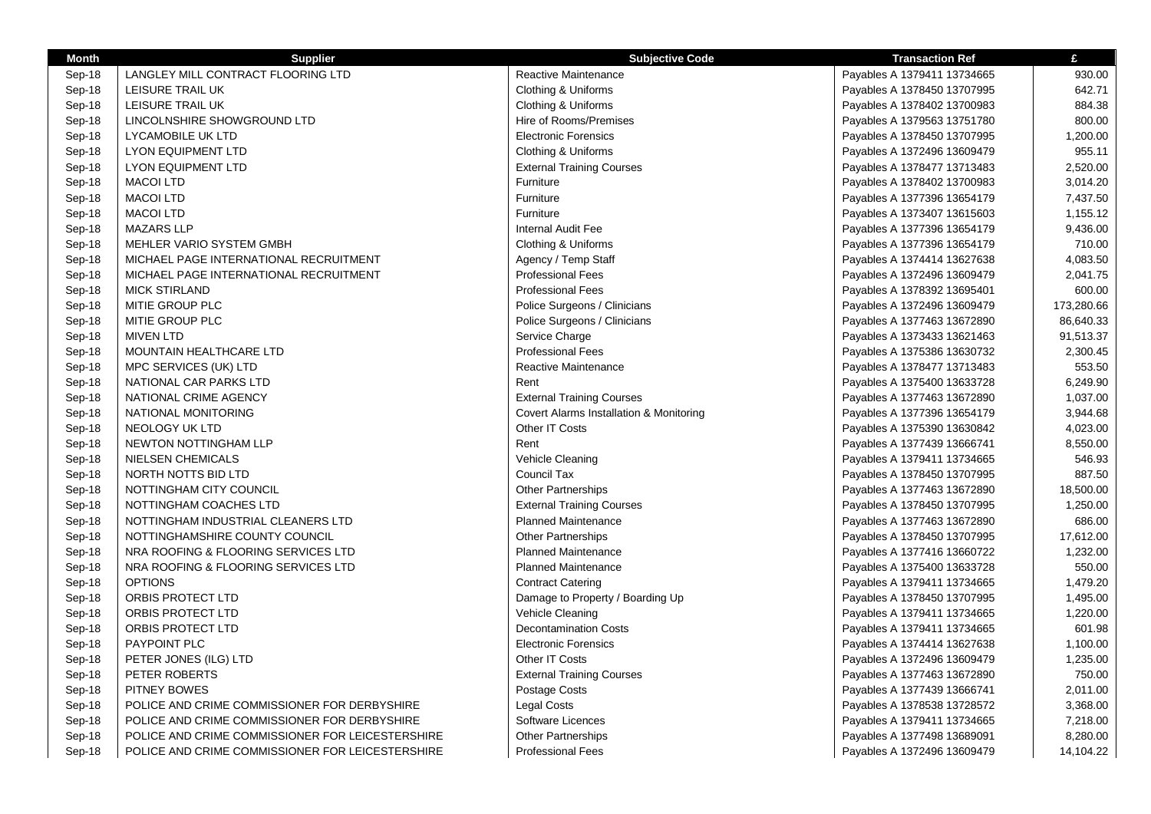| <b>Month</b> | <b>Supplier</b>                                  | <b>Subjective Code</b>                  | <b>Transaction Ref</b>      | £          |
|--------------|--------------------------------------------------|-----------------------------------------|-----------------------------|------------|
| Sep-18       | LANGLEY MILL CONTRACT FLOORING LTD               | Reactive Maintenance                    | Payables A 1379411 13734665 | 930.00     |
| Sep-18       | LEISURE TRAIL UK                                 | Clothing & Uniforms                     | Payables A 1378450 13707995 | 642.71     |
| Sep-18       | LEISURE TRAIL UK                                 | Clothing & Uniforms                     | Payables A 1378402 13700983 | 884.38     |
| Sep-18       | LINCOLNSHIRE SHOWGROUND LTD                      | Hire of Rooms/Premises                  | Payables A 1379563 13751780 | 800.00     |
| Sep-18       | LYCAMOBILE UK LTD                                | <b>Electronic Forensics</b>             | Payables A 1378450 13707995 | 1,200.00   |
| Sep-18       | <b>LYON EQUIPMENT LTD</b>                        | Clothing & Uniforms                     | Payables A 1372496 13609479 | 955.11     |
| Sep-18       | <b>LYON EQUIPMENT LTD</b>                        | <b>External Training Courses</b>        | Payables A 1378477 13713483 | 2,520.00   |
| Sep-18       | <b>MACOI LTD</b>                                 | Furniture                               | Payables A 1378402 13700983 | 3,014.20   |
| Sep-18       | <b>MACOI LTD</b>                                 | Furniture                               | Payables A 1377396 13654179 | 7,437.50   |
| Sep-18       | <b>MACOI LTD</b>                                 | Furniture                               | Payables A 1373407 13615603 | 1,155.12   |
| Sep-18       | <b>MAZARS LLP</b>                                | Internal Audit Fee                      | Payables A 1377396 13654179 | 9,436.00   |
| Sep-18       | MEHLER VARIO SYSTEM GMBH                         | Clothing & Uniforms                     | Payables A 1377396 13654179 | 710.00     |
| Sep-18       | MICHAEL PAGE INTERNATIONAL RECRUITMENT           | Agency / Temp Staff                     | Payables A 1374414 13627638 | 4,083.50   |
| Sep-18       | MICHAEL PAGE INTERNATIONAL RECRUITMENT           | <b>Professional Fees</b>                | Payables A 1372496 13609479 | 2,041.75   |
| Sep-18       | <b>MICK STIRLAND</b>                             | <b>Professional Fees</b>                | Payables A 1378392 13695401 | 600.00     |
| Sep-18       | MITIE GROUP PLC                                  | Police Surgeons / Clinicians            | Payables A 1372496 13609479 | 173,280.66 |
| Sep-18       | MITIE GROUP PLC                                  | Police Surgeons / Clinicians            | Payables A 1377463 13672890 | 86,640.33  |
| Sep-18       | <b>MIVEN LTD</b>                                 | Service Charge                          | Payables A 1373433 13621463 | 91,513.37  |
| Sep-18       | MOUNTAIN HEALTHCARE LTD                          | <b>Professional Fees</b>                | Payables A 1375386 13630732 | 2,300.45   |
| Sep-18       | MPC SERVICES (UK) LTD                            | Reactive Maintenance                    | Payables A 1378477 13713483 | 553.50     |
| Sep-18       | NATIONAL CAR PARKS LTD                           | Rent                                    | Payables A 1375400 13633728 | 6,249.90   |
| Sep-18       | NATIONAL CRIME AGENCY                            | <b>External Training Courses</b>        | Payables A 1377463 13672890 | 1,037.00   |
| Sep-18       | NATIONAL MONITORING                              | Covert Alarms Installation & Monitoring | Payables A 1377396 13654179 | 3,944.68   |
| Sep-18       | NEOLOGY UK LTD                                   | Other IT Costs                          | Payables A 1375390 13630842 | 4,023.00   |
| Sep-18       | <b>NEWTON NOTTINGHAM LLP</b>                     | Rent                                    | Payables A 1377439 13666741 | 8,550.00   |
| Sep-18       | NIELSEN CHEMICALS                                | Vehicle Cleaning                        | Payables A 1379411 13734665 | 546.93     |
| Sep-18       | NORTH NOTTS BID LTD                              | Council Tax                             | Payables A 1378450 13707995 | 887.50     |
| Sep-18       | NOTTINGHAM CITY COUNCIL                          | <b>Other Partnerships</b>               | Payables A 1377463 13672890 | 18,500.00  |
| Sep-18       | NOTTINGHAM COACHES LTD                           | <b>External Training Courses</b>        | Payables A 1378450 13707995 | 1,250.00   |
| Sep-18       | NOTTINGHAM INDUSTRIAL CLEANERS LTD               | <b>Planned Maintenance</b>              | Payables A 1377463 13672890 | 686.00     |
| Sep-18       | NOTTINGHAMSHIRE COUNTY COUNCIL                   | <b>Other Partnerships</b>               | Payables A 1378450 13707995 | 17,612.00  |
| Sep-18       | NRA ROOFING & FLOORING SERVICES LTD              | <b>Planned Maintenance</b>              | Payables A 1377416 13660722 | 1,232.00   |
| Sep-18       | NRA ROOFING & FLOORING SERVICES LTD              | <b>Planned Maintenance</b>              | Payables A 1375400 13633728 | 550.00     |
| Sep-18       | <b>OPTIONS</b>                                   | <b>Contract Catering</b>                | Payables A 1379411 13734665 | 1,479.20   |
| Sep-18       | ORBIS PROTECT LTD                                | Damage to Property / Boarding Up        | Payables A 1378450 13707995 | 1,495.00   |
| Sep-18       | ORBIS PROTECT LTD                                | Vehicle Cleaning                        | Payables A 1379411 13734665 | 1,220.00   |
| Sep-18       | ORBIS PROTECT LTD                                | <b>Decontamination Costs</b>            | Payables A 1379411 13734665 | 601.98     |
| Sep-18       | PAYPOINT PLC                                     | <b>Electronic Forensics</b>             | Payables A 1374414 13627638 | 1,100.00   |
| Sep-18       | PETER JONES (ILG) LTD                            | Other IT Costs                          | Payables A 1372496 13609479 | 1,235.00   |
| Sep-18       | PETER ROBERTS                                    | <b>External Training Courses</b>        | Payables A 1377463 13672890 | 750.00     |
| Sep-18       | PITNEY BOWES                                     | Postage Costs                           | Payables A 1377439 13666741 | 2,011.00   |
| Sep-18       | POLICE AND CRIME COMMISSIONER FOR DERBYSHIRE     | <b>Legal Costs</b>                      | Payables A 1378538 13728572 | 3,368.00   |
| Sep-18       | POLICE AND CRIME COMMISSIONER FOR DERBYSHIRE     | Software Licences                       | Payables A 1379411 13734665 | 7,218.00   |
| Sep-18       | POLICE AND CRIME COMMISSIONER FOR LEICESTERSHIRE | <b>Other Partnerships</b>               | Payables A 1377498 13689091 | 8,280.00   |
| Sep-18       | POLICE AND CRIME COMMISSIONER FOR LEICESTERSHIRE | <b>Professional Fees</b>                | Payables A 1372496 13609479 | 14,104.22  |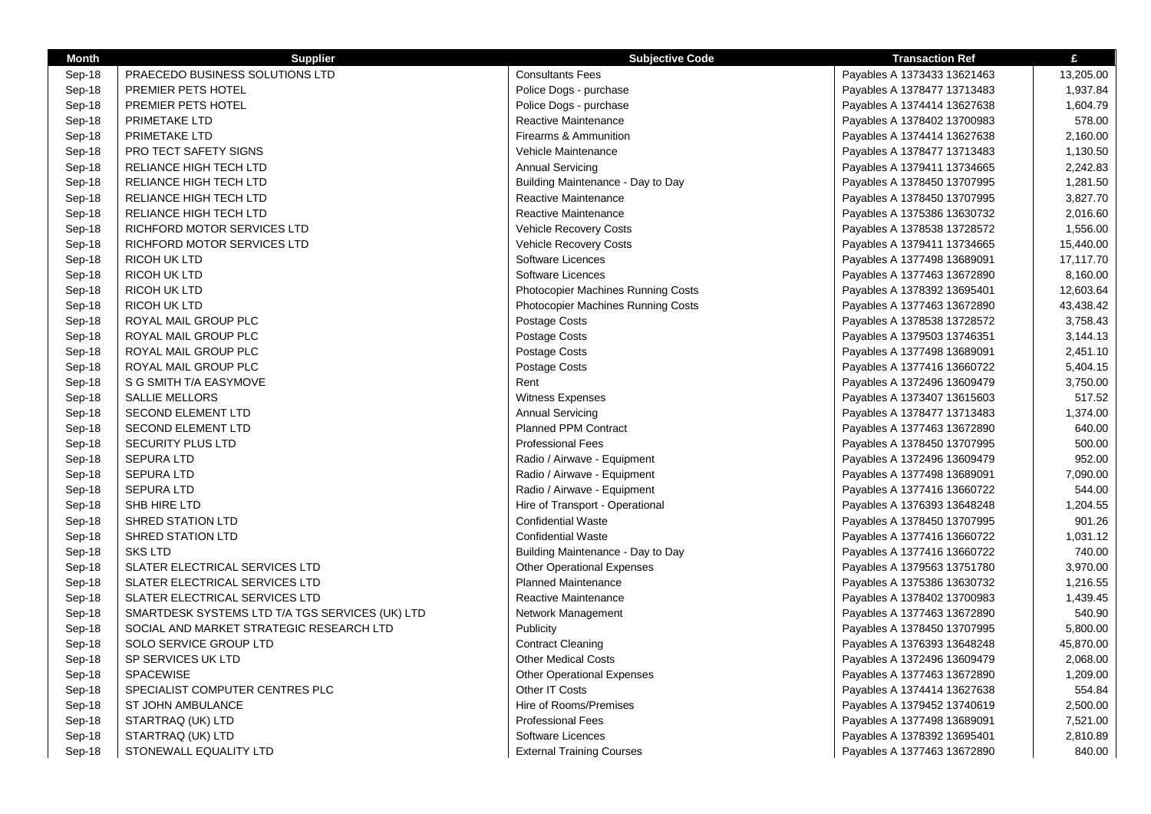| <b>Month</b> | <b>Supplier</b>                                 | <b>Subjective Code</b>                    | <b>Transaction Ref</b>      | £         |
|--------------|-------------------------------------------------|-------------------------------------------|-----------------------------|-----------|
| Sep-18       | PRAECEDO BUSINESS SOLUTIONS LTD                 | <b>Consultants Fees</b>                   | Payables A 1373433 13621463 | 13,205.00 |
| Sep-18       | PREMIER PETS HOTEL                              | Police Dogs - purchase                    | Payables A 1378477 13713483 | 1,937.84  |
| Sep-18       | PREMIER PETS HOTEL                              | Police Dogs - purchase                    | Payables A 1374414 13627638 | 1,604.79  |
| Sep-18       | PRIMETAKE LTD                                   | Reactive Maintenance                      | Payables A 1378402 13700983 | 578.00    |
| Sep-18       | <b>PRIMETAKE LTD</b>                            | Firearms & Ammunition                     | Payables A 1374414 13627638 | 2,160.00  |
| Sep-18       | <b>PRO TECT SAFETY SIGNS</b>                    | Vehicle Maintenance                       | Payables A 1378477 13713483 | 1,130.50  |
| Sep-18       | RELIANCE HIGH TECH LTD                          | <b>Annual Servicing</b>                   | Payables A 1379411 13734665 | 2,242.83  |
| Sep-18       | RELIANCE HIGH TECH LTD                          | Building Maintenance - Day to Day         | Payables A 1378450 13707995 | 1,281.50  |
| Sep-18       | RELIANCE HIGH TECH LTD                          | Reactive Maintenance                      | Payables A 1378450 13707995 | 3,827.70  |
| Sep-18       | RELIANCE HIGH TECH LTD                          | Reactive Maintenance                      | Payables A 1375386 13630732 | 2,016.60  |
| Sep-18       | RICHFORD MOTOR SERVICES LTD                     | <b>Vehicle Recovery Costs</b>             | Payables A 1378538 13728572 | 1,556.00  |
| Sep-18       | RICHFORD MOTOR SERVICES LTD                     | Vehicle Recovery Costs                    | Payables A 1379411 13734665 | 15,440.00 |
| Sep-18       | <b>RICOH UK LTD</b>                             | Software Licences                         | Payables A 1377498 13689091 | 17,117.70 |
| Sep-18       | <b>RICOH UK LTD</b>                             | Software Licences                         | Payables A 1377463 13672890 | 8,160.00  |
| Sep-18       | <b>RICOH UK LTD</b>                             | <b>Photocopier Machines Running Costs</b> | Payables A 1378392 13695401 | 12,603.64 |
| Sep-18       | <b>RICOH UK LTD</b>                             | <b>Photocopier Machines Running Costs</b> | Payables A 1377463 13672890 | 43,438.42 |
| Sep-18       | ROYAL MAIL GROUP PLC                            | Postage Costs                             | Payables A 1378538 13728572 | 3,758.43  |
| Sep-18       | ROYAL MAIL GROUP PLC                            | Postage Costs                             | Payables A 1379503 13746351 | 3,144.13  |
| Sep-18       | ROYAL MAIL GROUP PLC                            | Postage Costs                             | Payables A 1377498 13689091 | 2,451.10  |
| Sep-18       | ROYAL MAIL GROUP PLC                            | Postage Costs                             | Payables A 1377416 13660722 | 5,404.15  |
| Sep-18       | S G SMITH T/A EASYMOVE                          | Rent                                      | Payables A 1372496 13609479 | 3,750.00  |
| Sep-18       | <b>SALLIE MELLORS</b>                           | Witness Expenses                          | Payables A 1373407 13615603 | 517.52    |
| Sep-18       | <b>SECOND ELEMENT LTD</b>                       | <b>Annual Servicing</b>                   | Payables A 1378477 13713483 | 1,374.00  |
| Sep-18       | <b>SECOND ELEMENT LTD</b>                       | <b>Planned PPM Contract</b>               | Payables A 1377463 13672890 | 640.00    |
| Sep-18       | <b>SECURITY PLUS LTD</b>                        | <b>Professional Fees</b>                  | Payables A 1378450 13707995 | 500.00    |
| Sep-18       | <b>SEPURA LTD</b>                               | Radio / Airwave - Equipment               | Payables A 1372496 13609479 | 952.00    |
| Sep-18       | SEPURA LTD                                      | Radio / Airwave - Equipment               | Payables A 1377498 13689091 | 7,090.00  |
| Sep-18       | <b>SEPURA LTD</b>                               | Radio / Airwave - Equipment               | Payables A 1377416 13660722 | 544.00    |
| Sep-18       | SHB HIRE LTD                                    | Hire of Transport - Operational           | Payables A 1376393 13648248 | 1,204.55  |
| Sep-18       | <b>SHRED STATION LTD</b>                        | <b>Confidential Waste</b>                 | Payables A 1378450 13707995 | 901.26    |
| Sep-18       | <b>SHRED STATION LTD</b>                        | <b>Confidential Waste</b>                 | Payables A 1377416 13660722 | 1,031.12  |
| Sep-18       | <b>SKS LTD</b>                                  | Building Maintenance - Day to Day         | Payables A 1377416 13660722 | 740.00    |
| Sep-18       | SLATER ELECTRICAL SERVICES LTD                  | <b>Other Operational Expenses</b>         | Payables A 1379563 13751780 | 3,970.00  |
| Sep-18       | SLATER ELECTRICAL SERVICES LTD                  | <b>Planned Maintenance</b>                | Payables A 1375386 13630732 | 1,216.55  |
| Sep-18       | SLATER ELECTRICAL SERVICES LTD                  | <b>Reactive Maintenance</b>               | Payables A 1378402 13700983 | 1,439.45  |
| Sep-18       | SMARTDESK SYSTEMS LTD T/A TGS SERVICES (UK) LTD | Network Management                        | Payables A 1377463 13672890 | 540.90    |
| Sep-18       | SOCIAL AND MARKET STRATEGIC RESEARCH LTD        | Publicity                                 | Payables A 1378450 13707995 | 5,800.00  |
| Sep-18       | SOLO SERVICE GROUP LTD                          | <b>Contract Cleaning</b>                  | Payables A 1376393 13648248 | 45,870.00 |
| Sep-18       | SP SERVICES UK LTD                              | <b>Other Medical Costs</b>                | Payables A 1372496 13609479 | 2,068.00  |
| Sep-18       | SPACEWISE                                       | <b>Other Operational Expenses</b>         | Payables A 1377463 13672890 | 1,209.00  |
| Sep-18       | SPECIALIST COMPUTER CENTRES PLC                 | Other IT Costs                            | Payables A 1374414 13627638 | 554.84    |
| Sep-18       | ST JOHN AMBULANCE                               | Hire of Rooms/Premises                    | Payables A 1379452 13740619 | 2,500.00  |
| Sep-18       | STARTRAQ (UK) LTD                               | <b>Professional Fees</b>                  | Payables A 1377498 13689091 | 7,521.00  |
| Sep-18       | STARTRAQ (UK) LTD                               | Software Licences                         | Payables A 1378392 13695401 | 2,810.89  |
| Sep-18       | STONEWALL EQUALITY LTD                          | <b>External Training Courses</b>          | Payables A 1377463 13672890 | 840.00    |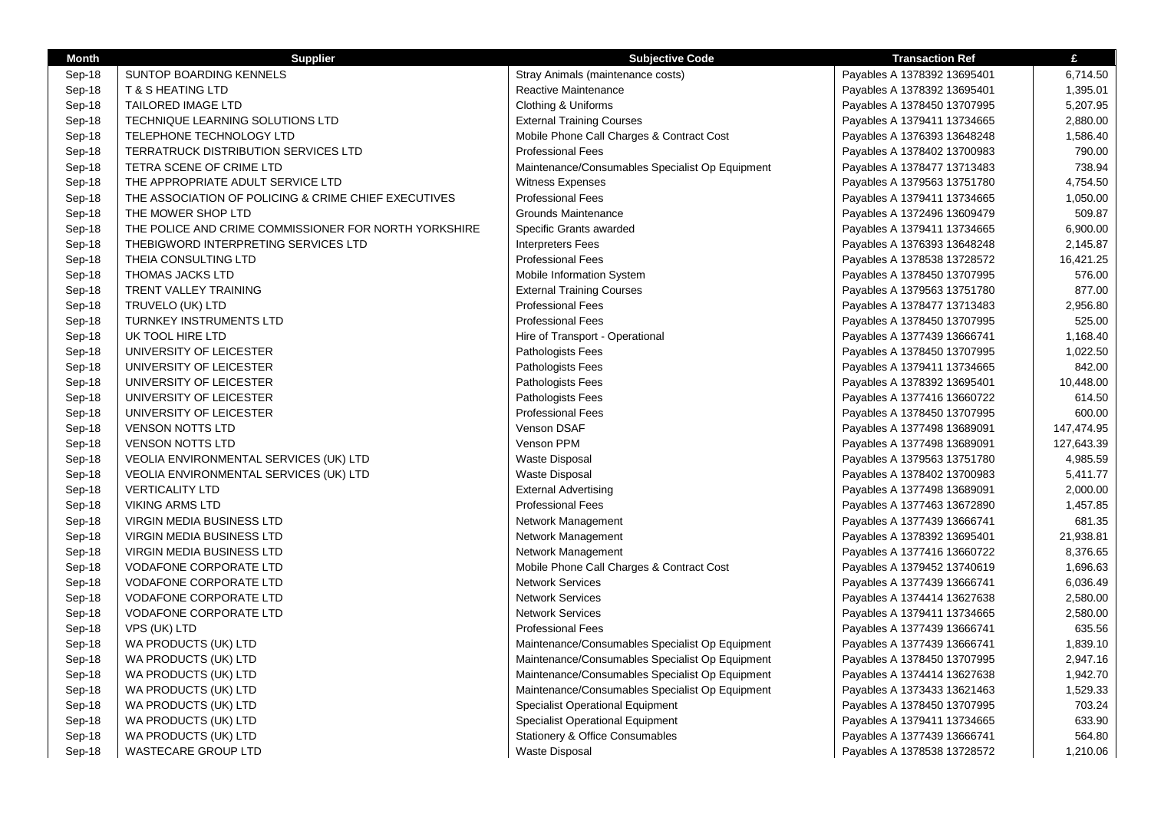| <b>Month</b> | <b>Supplier</b>                                       | <b>Subjective Code</b>                          | <b>Transaction Ref</b>      | £          |
|--------------|-------------------------------------------------------|-------------------------------------------------|-----------------------------|------------|
| Sep-18       | <b>SUNTOP BOARDING KENNELS</b>                        | Stray Animals (maintenance costs)               | Payables A 1378392 13695401 | 6,714.50   |
| Sep-18       | <b>T &amp; S HEATING LTD</b>                          | Reactive Maintenance                            | Payables A 1378392 13695401 | 1,395.01   |
| Sep-18       | TAILORED IMAGE LTD                                    | Clothing & Uniforms                             | Payables A 1378450 13707995 | 5,207.95   |
| Sep-18       | TECHNIQUE LEARNING SOLUTIONS LTD                      | <b>External Training Courses</b>                | Payables A 1379411 13734665 | 2,880.00   |
| Sep-18       | TELEPHONE TECHNOLOGY LTD                              | Mobile Phone Call Charges & Contract Cost       | Payables A 1376393 13648248 | 1,586.40   |
| Sep-18       | TERRATRUCK DISTRIBUTION SERVICES LTD                  | <b>Professional Fees</b>                        | Payables A 1378402 13700983 | 790.00     |
| Sep-18       | TETRA SCENE OF CRIME LTD                              | Maintenance/Consumables Specialist Op Equipment | Payables A 1378477 13713483 | 738.94     |
| Sep-18       | THE APPROPRIATE ADULT SERVICE LTD                     | <b>Witness Expenses</b>                         | Payables A 1379563 13751780 | 4,754.50   |
| Sep-18       | THE ASSOCIATION OF POLICING & CRIME CHIEF EXECUTIVES  | <b>Professional Fees</b>                        | Payables A 1379411 13734665 | 1,050.00   |
| Sep-18       | THE MOWER SHOP LTD                                    | Grounds Maintenance                             | Payables A 1372496 13609479 | 509.87     |
| Sep-18       | THE POLICE AND CRIME COMMISSIONER FOR NORTH YORKSHIRE | Specific Grants awarded                         | Payables A 1379411 13734665 | 6,900.00   |
| Sep-18       | THEBIGWORD INTERPRETING SERVICES LTD                  | <b>Interpreters Fees</b>                        | Payables A 1376393 13648248 | 2,145.87   |
| Sep-18       | THEIA CONSULTING LTD                                  | <b>Professional Fees</b>                        | Payables A 1378538 13728572 | 16,421.25  |
| Sep-18       | <b>THOMAS JACKS LTD</b>                               | Mobile Information System                       | Payables A 1378450 13707995 | 576.00     |
| Sep-18       | TRENT VALLEY TRAINING                                 | <b>External Training Courses</b>                | Payables A 1379563 13751780 | 877.00     |
| Sep-18       | TRUVELO (UK) LTD                                      | <b>Professional Fees</b>                        | Payables A 1378477 13713483 | 2,956.80   |
| Sep-18       | <b>TURNKEY INSTRUMENTS LTD</b>                        | <b>Professional Fees</b>                        | Payables A 1378450 13707995 | 525.00     |
| Sep-18       | UK TOOL HIRE LTD                                      | Hire of Transport - Operational                 | Payables A 1377439 13666741 | 1,168.40   |
| Sep-18       | UNIVERSITY OF LEICESTER                               | Pathologists Fees                               | Payables A 1378450 13707995 | 1,022.50   |
| Sep-18       | UNIVERSITY OF LEICESTER                               | Pathologists Fees                               | Payables A 1379411 13734665 | 842.00     |
| Sep-18       | UNIVERSITY OF LEICESTER                               | Pathologists Fees                               | Payables A 1378392 13695401 | 10,448.00  |
| Sep-18       | UNIVERSITY OF LEICESTER                               | Pathologists Fees                               | Payables A 1377416 13660722 | 614.50     |
| Sep-18       | UNIVERSITY OF LEICESTER                               | <b>Professional Fees</b>                        | Payables A 1378450 13707995 | 600.00     |
| Sep-18       | <b>VENSON NOTTS LTD</b>                               | Venson DSAF                                     | Payables A 1377498 13689091 | 147,474.95 |
| Sep-18       | <b>VENSON NOTTS LTD</b>                               | Venson PPM                                      | Payables A 1377498 13689091 | 127,643.39 |
| Sep-18       | VEOLIA ENVIRONMENTAL SERVICES (UK) LTD                | Waste Disposal                                  | Payables A 1379563 13751780 | 4,985.59   |
| Sep-18       | VEOLIA ENVIRONMENTAL SERVICES (UK) LTD                | Waste Disposal                                  | Payables A 1378402 13700983 | 5,411.77   |
| Sep-18       | <b>VERTICALITY LTD</b>                                | <b>External Advertising</b>                     | Payables A 1377498 13689091 | 2,000.00   |
| Sep-18       | <b>VIKING ARMS LTD</b>                                | <b>Professional Fees</b>                        | Payables A 1377463 13672890 | 1,457.85   |
| Sep-18       | VIRGIN MEDIA BUSINESS LTD                             | Network Management                              | Payables A 1377439 13666741 | 681.35     |
| Sep-18       | <b>VIRGIN MEDIA BUSINESS LTD</b>                      | Network Management                              | Payables A 1378392 13695401 | 21,938.81  |
| Sep-18       | VIRGIN MEDIA BUSINESS LTD                             | Network Management                              | Payables A 1377416 13660722 | 8,376.65   |
| Sep-18       | <b>VODAFONE CORPORATE LTD</b>                         | Mobile Phone Call Charges & Contract Cost       | Payables A 1379452 13740619 | 1,696.63   |
| Sep-18       | <b>VODAFONE CORPORATE LTD</b>                         | <b>Network Services</b>                         | Payables A 1377439 13666741 | 6,036.49   |
| Sep-18       | <b>VODAFONE CORPORATE LTD</b>                         | <b>Network Services</b>                         | Payables A 1374414 13627638 | 2,580.00   |
| Sep-18       | <b>VODAFONE CORPORATE LTD</b>                         | <b>Network Services</b>                         | Payables A 1379411 13734665 | 2,580.00   |
| Sep-18       | VPS (UK) LTD                                          | <b>Professional Fees</b>                        | Payables A 1377439 13666741 | 635.56     |
| Sep-18       | WA PRODUCTS (UK) LTD                                  | Maintenance/Consumables Specialist Op Equipment | Payables A 1377439 13666741 | 1,839.10   |
| Sep-18       | WA PRODUCTS (UK) LTD                                  | Maintenance/Consumables Specialist Op Equipment | Payables A 1378450 13707995 | 2,947.16   |
| Sep-18       | WA PRODUCTS (UK) LTD                                  | Maintenance/Consumables Specialist Op Equipment | Payables A 1374414 13627638 | 1,942.70   |
| Sep-18       | WA PRODUCTS (UK) LTD                                  | Maintenance/Consumables Specialist Op Equipment | Payables A 1373433 13621463 | 1,529.33   |
| Sep-18       | WA PRODUCTS (UK) LTD                                  | Specialist Operational Equipment                | Payables A 1378450 13707995 | 703.24     |
| Sep-18       | WA PRODUCTS (UK) LTD                                  | Specialist Operational Equipment                | Payables A 1379411 13734665 | 633.90     |
| Sep-18       | WA PRODUCTS (UK) LTD                                  | Stationery & Office Consumables                 | Payables A 1377439 13666741 | 564.80     |
| Sep-18       | <b>WASTECARE GROUP LTD</b>                            | Waste Disposal                                  | Payables A 1378538 13728572 | 1,210.06   |
|              |                                                       |                                                 |                             |            |